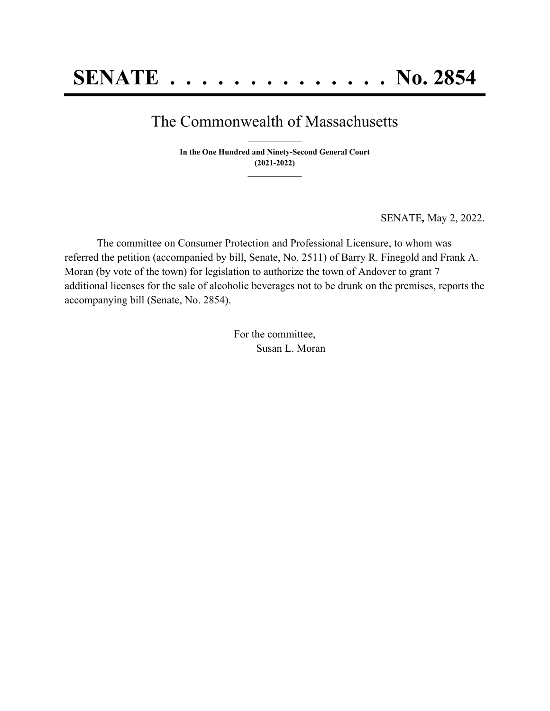## The Commonwealth of Massachusetts **\_\_\_\_\_\_\_\_\_\_\_\_\_\_\_**

**In the One Hundred and Ninety-Second General Court (2021-2022) \_\_\_\_\_\_\_\_\_\_\_\_\_\_\_**

SENATE*,* May 2, 2022.

The committee on Consumer Protection and Professional Licensure, to whom was referred the petition (accompanied by bill, Senate, No. 2511) of Barry R. Finegold and Frank A. Moran (by vote of the town) for legislation to authorize the town of Andover to grant 7 additional licenses for the sale of alcoholic beverages not to be drunk on the premises, reports the accompanying bill (Senate, No. 2854).

> For the committee, Susan L. Moran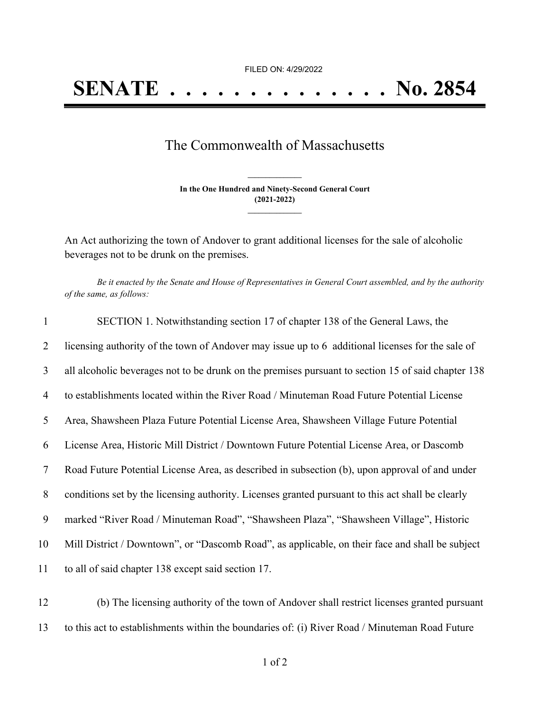FILED ON: 4/29/2022

## The Commonwealth of Massachusetts

**In the One Hundred and Ninety-Second General Court (2021-2022) \_\_\_\_\_\_\_\_\_\_\_\_\_\_\_**

**\_\_\_\_\_\_\_\_\_\_\_\_\_\_\_**

An Act authorizing the town of Andover to grant additional licenses for the sale of alcoholic beverages not to be drunk on the premises.

Be it enacted by the Senate and House of Representatives in General Court assembled, and by the authority *of the same, as follows:*

| 1  | SECTION 1. Notwithstanding section 17 of chapter 138 of the General Laws, the                      |
|----|----------------------------------------------------------------------------------------------------|
| 2  | licensing authority of the town of Andover may issue up to 6 additional licenses for the sale of   |
| 3  | all alcoholic beverages not to be drunk on the premises pursuant to section 15 of said chapter 138 |
| 4  | to establishments located within the River Road / Minuteman Road Future Potential License          |
| 5  | Area, Shawsheen Plaza Future Potential License Area, Shawsheen Village Future Potential            |
| 6  | License Area, Historic Mill District / Downtown Future Potential License Area, or Dascomb          |
| 7  | Road Future Potential License Area, as described in subsection (b), upon approval of and under     |
| 8  | conditions set by the licensing authority. Licenses granted pursuant to this act shall be clearly  |
| 9  | marked "River Road / Minuteman Road", "Shawsheen Plaza", "Shawsheen Village", Historic             |
| 10 | Mill District / Downtown", or "Dascomb Road", as applicable, on their face and shall be subject    |
| 11 | to all of said chapter 138 except said section 17.                                                 |
|    |                                                                                                    |

12 (b) The licensing authority of the town of Andover shall restrict licenses granted pursuant 13 to this act to establishments within the boundaries of: (i) River Road / Minuteman Road Future